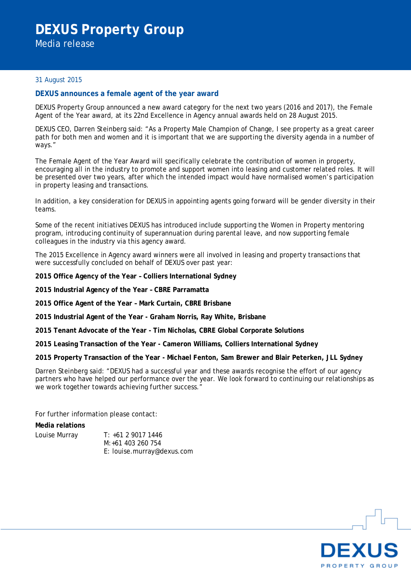Media release

## 31 August 2015

## **DEXUS announces a female agent of the year award**

DEXUS Property Group announced a new award category for the next two years (2016 and 2017), the Female Agent of the Year award, at its 22nd Excellence in Agency annual awards held on 28 August 2015.

DEXUS CEO, Darren Steinberg said: "As a Property Male Champion of Change, I see property as a great career path for both men and women and it is important that we are supporting the diversity agenda in a number of ways."

The Female Agent of the Year Award will specifically celebrate the contribution of women in property, encouraging all in the industry to promote and support women into leasing and customer related roles. It will be presented over two years, after which the intended impact would have normalised women's participation in property leasing and transactions.

In addition, a key consideration for DEXUS in appointing agents going forward will be gender diversity in their teams.

Some of the recent initiatives DEXUS has introduced include supporting the Women in Property mentoring program, introducing continuity of superannuation during parental leave, and now supporting female colleagues in the industry via this agency award.

The 2015 Excellence in Agency award winners were all involved in leasing and property transactions that were successfully concluded on behalf of DEXUS over past year:

**2015 Office Agency of the Year – Colliers International Sydney**

**2015 Industrial Agency of the Year – CBRE Parramatta**

**2015 Office Agent of the Year – Mark Curtain, CBRE Brisbane**

**2015 Industrial Agent of the Year - Graham Norris, Ray White, Brisbane**

**2015 Tenant Advocate of the Year - Tim Nicholas, CBRE Global Corporate Solutions**

**2015 Leasing Transaction of the Year - Cameron Williams, Colliers International Sydney**

**2015 Property Transaction of the Year - Michael Fenton, Sam Brewer and Blair Peterken, JLL Sydney**

Darren Steinberg said: "DEXUS had a successful year and these awards recognise the effort of our agency partners who have helped our performance over the year. We look forward to continuing our relationships as we work together towards achieving further success."

For further information please contact:

## **Media relations**

Louise Murray T: +61 2 9017 1446 M:+61 403 260 754 E: louise.murray@dexus.com